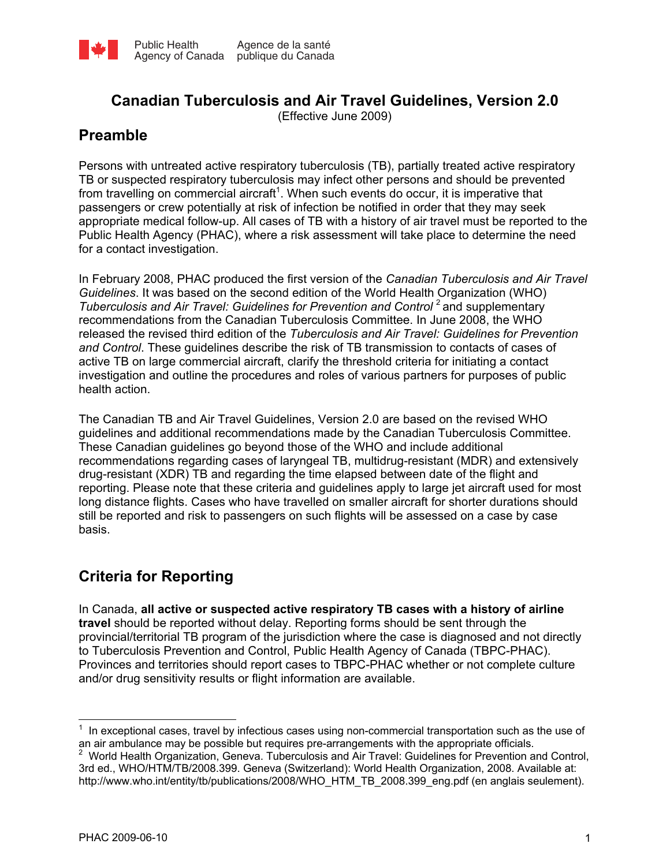

# **Canadian Tuberculosis and Air Travel Guidelines, Version 2.0**

(Effective June 2009)

# **Preamble**

Persons with untreated active respiratory tuberculosis (TB), partially treated active respiratory TB or suspected respiratory tuberculosis may infect other persons and should be prevented from travelling on commercial aircraft<sup>1</sup>. When such events do occur, it is imperative that passengers or crew potentially at risk of infection be notified in order that they may seek appropriate medical follow-up. All cases of TB with a history of air travel must be reported to the Public Health Agency (PHAC), where a risk assessment will take place to determine the need for a contact investigation.

In February 2008, PHAC produced the first version of the *Canadian Tuberculosis and Air Travel Guidelines*. It was based on the second edition of the World Health Organization (WHO) *Tuberculosis and Air Travel: Guidelines for Prevention and Control*<sup>2</sup> and supplementary recommendations from the Canadian Tuberculosis Committee. In June 2008, the WHO released the revised third edition of the *Tuberculosis and Air Travel: Guidelines for Prevention and Control*. These guidelines describe the risk of TB transmission to contacts of cases of active TB on large commercial aircraft, clarify the threshold criteria for initiating a contact investigation and outline the procedures and roles of various partners for purposes of public health action.

The Canadian TB and Air Travel Guidelines, Version 2.0 are based on the revised WHO guidelines and additional recommendations made by the Canadian Tuberculosis Committee. These Canadian guidelines go beyond those of the WHO and include additional recommendations regarding cases of laryngeal TB, multidrug-resistant (MDR) and extensively drug-resistant (XDR) TB and regarding the time elapsed between date of the flight and reporting. Please note that these criteria and guidelines apply to large jet aircraft used for most long distance flights. Cases who have travelled on smaller aircraft for shorter durations should still be reported and risk to passengers on such flights will be assessed on a case by case basis.

# **Criteria for Reporting**

In Canada, **all active or suspected active respiratory TB cases with a history of airline travel** should be reported without delay. Reporting forms should be sent through the provincial/territorial TB program of the jurisdiction where the case is diagnosed and not directly to Tuberculosis Prevention and Control, Public Health Agency of Canada (TBPC-PHAC). Provinces and territories should report cases to TBPC-PHAC whether or not complete culture and/or drug sensitivity results or flight information are available.

 $\overline{a}$ <sup>1</sup> In exceptional cases, travel by infectious cases using non-commercial transportation such as the use of an air ambulance may be possible but requires pre-arrangements with the appropriate officials.

<sup>&</sup>lt;sup>2</sup> World Health Organization, Geneva. Tuberculosis and Air Travel: Guidelines for Prevention and Control, 3rd ed., WHO/HTM/TB/2008.399. Geneva (Switzerland): World Health Organization, 2008. Available at: http://www.who.int/entity/tb/publications/2008/WHO\_HTM\_TB\_2008.399\_eng.pdf (en anglais seulement).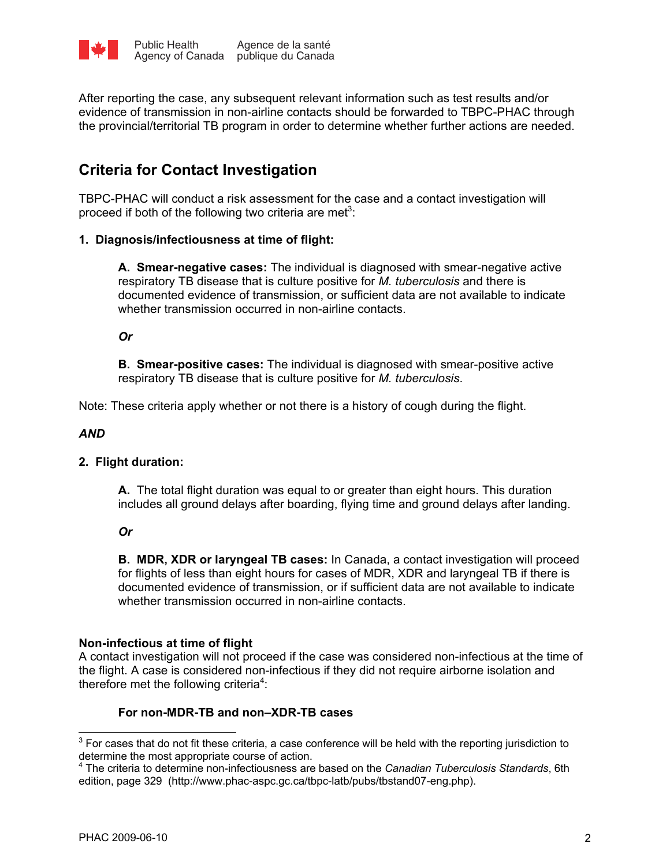

After reporting the case, any subsequent relevant information such as test results and/or evidence of transmission in non-airline contacts should be forwarded to TBPC-PHAC through the provincial/territorial TB program in order to determine whether further actions are needed.

# **Criteria for Contact Investigation**

TBPC-PHAC will conduct a risk assessment for the case and a contact investigation will proceed if both of the following two criteria are met<sup>3</sup>:

# **1. Diagnosis/infectiousness at time of flight:**

**A. Smear-negative cases:** The individual is diagnosed with smear-negative active respiratory TB disease that is culture positive for *M. tuberculosis* and there is documented evidence of transmission, or sufficient data are not available to indicate whether transmission occurred in non-airline contacts.

*Or* 

**B. Smear-positive cases:** The individual is diagnosed with smear-positive active respiratory TB disease that is culture positive for *M. tuberculosis*.

Note: These criteria apply whether or not there is a history of cough during the flight.

#### *AND*

# **2. Flight duration:**

**A.** The total flight duration was equal to or greater than eight hours. This duration includes all ground delays after boarding, flying time and ground delays after landing.

# *Or*

**B. MDR, XDR or laryngeal TB cases:** In Canada, a contact investigation will proceed for flights of less than eight hours for cases of MDR, XDR and laryngeal TB if there is documented evidence of transmission, or if sufficient data are not available to indicate whether transmission occurred in non-airline contacts.

# **Non-infectious at time of flight**

A contact investigation will not proceed if the case was considered non-infectious at the time of the flight. A case is considered non-infectious if they did not require airborne isolation and therefore met the following criteria<sup>4</sup>:

# **For non-MDR-TB and non–XDR-TB cases**

 $\overline{\phantom{a}}$ 

 $3$  For cases that do not fit these criteria, a case conference will be held with the reporting jurisdiction to determine the most appropriate course of action. 4 The criteria to determine non-infectiousness are based on the *Canadian Tuberculosis Standards*, 6th

edition, page 329 (http://www.phac-aspc.gc.ca/tbpc-latb/pubs/tbstand07-eng.php).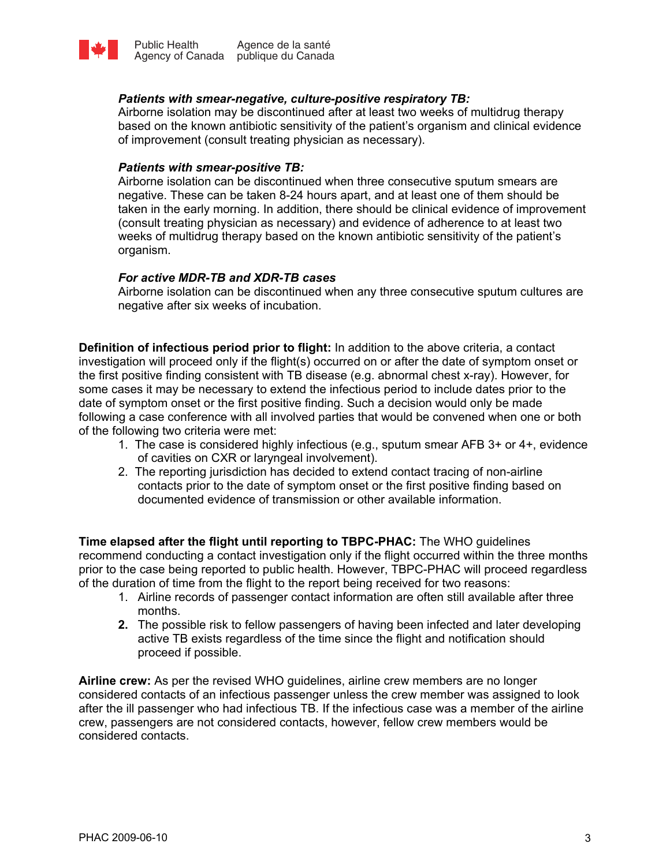

# *Patients with smear-negative, culture-positive respiratory TB:*

Airborne isolation may be discontinued after at least two weeks of multidrug therapy based on the known antibiotic sensitivity of the patient's organism and clinical evidence of improvement (consult treating physician as necessary).

#### *Patients with smear-positive TB:*

Airborne isolation can be discontinued when three consecutive sputum smears are negative. These can be taken 8-24 hours apart, and at least one of them should be taken in the early morning. In addition, there should be clinical evidence of improvement (consult treating physician as necessary) and evidence of adherence to at least two weeks of multidrug therapy based on the known antibiotic sensitivity of the patient's organism.

# *For active MDR-TB and XDR-TB cases*

Airborne isolation can be discontinued when any three consecutive sputum cultures are negative after six weeks of incubation.

**Definition of infectious period prior to flight:** In addition to the above criteria, a contact investigation will proceed only if the flight(s) occurred on or after the date of symptom onset or the first positive finding consistent with TB disease (e.g. abnormal chest x-ray). However, for some cases it may be necessary to extend the infectious period to include dates prior to the date of symptom onset or the first positive finding. Such a decision would only be made following a case conference with all involved parties that would be convened when one or both of the following two criteria were met:

- 1. The case is considered highly infectious (e.g., sputum smear AFB 3+ or 4+, evidence of cavities on CXR or laryngeal involvement).
- 2. The reporting jurisdiction has decided to extend contact tracing of non-airline contacts prior to the date of symptom onset or the first positive finding based on documented evidence of transmission or other available information.

**Time elapsed after the flight until reporting to TBPC-PHAC:** The WHO guidelines recommend conducting a contact investigation only if the flight occurred within the three months prior to the case being reported to public health. However, TBPC-PHAC will proceed regardless of the duration of time from the flight to the report being received for two reasons:

- 1. Airline records of passenger contact information are often still available after three months.
- **2.** The possible risk to fellow passengers of having been infected and later developing active TB exists regardless of the time since the flight and notification should proceed if possible.

**Airline crew:** As per the revised WHO guidelines, airline crew members are no longer considered contacts of an infectious passenger unless the crew member was assigned to look after the ill passenger who had infectious TB. If the infectious case was a member of the airline crew, passengers are not considered contacts, however, fellow crew members would be considered contacts.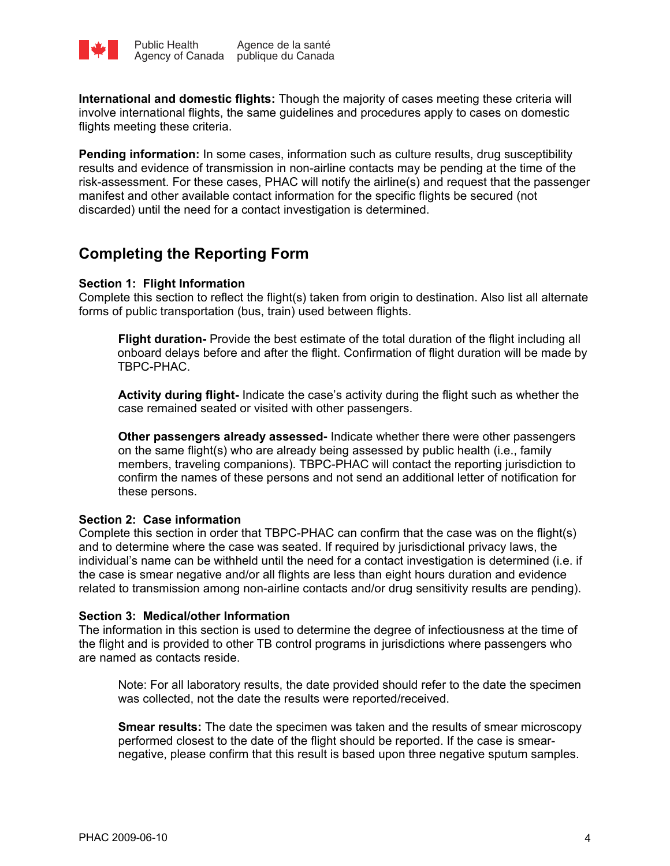

**International and domestic flights:** Though the majority of cases meeting these criteria will involve international flights, the same guidelines and procedures apply to cases on domestic flights meeting these criteria.

**Pending information:** In some cases, information such as culture results, drug susceptibility results and evidence of transmission in non-airline contacts may be pending at the time of the risk-assessment. For these cases, PHAC will notify the airline(s) and request that the passenger manifest and other available contact information for the specific flights be secured (not discarded) until the need for a contact investigation is determined.

# **Completing the Reporting Form**

# **Section 1: Flight Information**

Complete this section to reflect the flight(s) taken from origin to destination. Also list all alternate forms of public transportation (bus, train) used between flights.

**Flight duration-** Provide the best estimate of the total duration of the flight including all onboard delays before and after the flight. Confirmation of flight duration will be made by TBPC-PHAC.

**Activity during flight-** Indicate the case's activity during the flight such as whether the case remained seated or visited with other passengers.

**Other passengers already assessed-** Indicate whether there were other passengers on the same flight(s) who are already being assessed by public health (i.e., family members, traveling companions). TBPC-PHAC will contact the reporting jurisdiction to confirm the names of these persons and not send an additional letter of notification for these persons.

# **Section 2: Case information**

Complete this section in order that TBPC-PHAC can confirm that the case was on the flight(s) and to determine where the case was seated. If required by jurisdictional privacy laws, the individual's name can be withheld until the need for a contact investigation is determined (i.e. if the case is smear negative and/or all flights are less than eight hours duration and evidence related to transmission among non-airline contacts and/or drug sensitivity results are pending).

# **Section 3: Medical/other Information**

The information in this section is used to determine the degree of infectiousness at the time of the flight and is provided to other TB control programs in jurisdictions where passengers who are named as contacts reside.

Note: For all laboratory results, the date provided should refer to the date the specimen was collected, not the date the results were reported/received.

**Smear results:** The date the specimen was taken and the results of smear microscopy performed closest to the date of the flight should be reported. If the case is smearnegative, please confirm that this result is based upon three negative sputum samples.